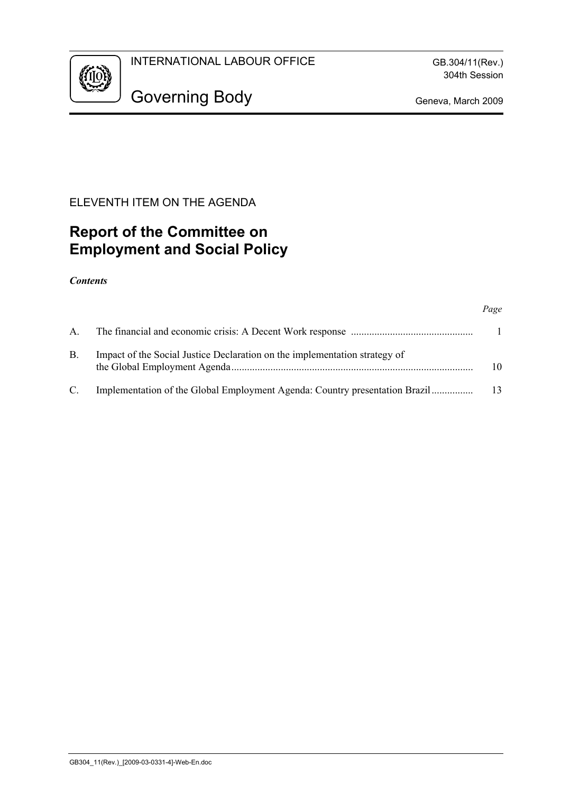

ELEVENTH ITEM ON THE AGENDA

# **Report of the Committee on Employment and Social Policy**

*Contents* 

#### *Page*

| $\mathsf{A}$ |                                                                             |     |
|--------------|-----------------------------------------------------------------------------|-----|
| <b>B.</b>    | Impact of the Social Justice Declaration on the implementation strategy of  | 10  |
| C.           | Implementation of the Global Employment Agenda: Country presentation Brazil | -13 |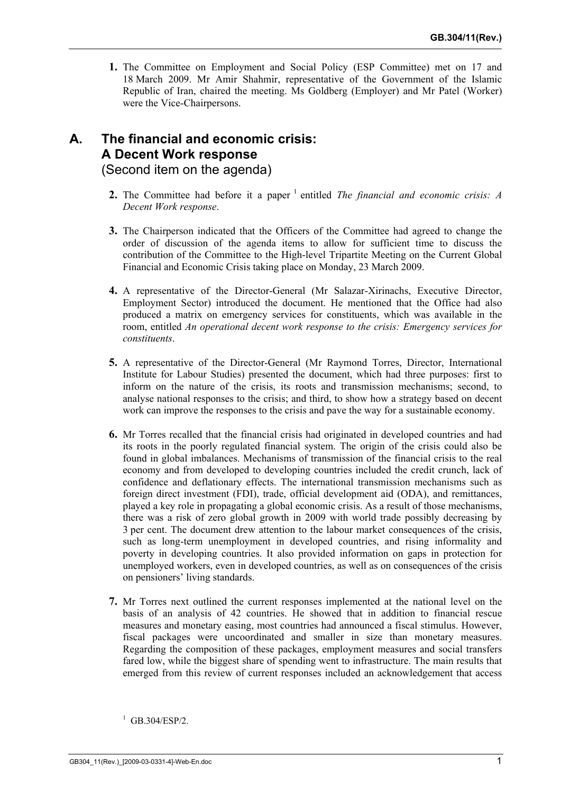**1.** The Committee on Employment and Social Policy (ESP Committee) met on 17 and 18 March 2009. Mr Amir Shahmir, representative of the Government of the Islamic Republic of Iran, chaired the meeting. Ms Goldberg (Employer) and Mr Patel (Worker) were the Vice-Chairpersons.

### **A. The financial and economic crisis: A Decent Work response**  (Second item on the agenda)

- **2.** The Committee had before it a paper <sup>1</sup> entitled *The financial and economic crisis: A Decent Work response*.
- **3.** The Chairperson indicated that the Officers of the Committee had agreed to change the order of discussion of the agenda items to allow for sufficient time to discuss the contribution of the Committee to the High-level Tripartite Meeting on the Current Global Financial and Economic Crisis taking place on Monday, 23 March 2009.
- **4.** A representative of the Director-General (Mr Salazar-Xirinachs, Executive Director, Employment Sector) introduced the document. He mentioned that the Office had also produced a matrix on emergency services for constituents, which was available in the room, entitled *An operational decent work response to the crisis: Emergency services for constituents*.
- **5.** A representative of the Director-General (Mr Raymond Torres, Director, International Institute for Labour Studies) presented the document, which had three purposes: first to inform on the nature of the crisis, its roots and transmission mechanisms; second, to analyse national responses to the crisis; and third, to show how a strategy based on decent work can improve the responses to the crisis and pave the way for a sustainable economy.
- **6.** Mr Torres recalled that the financial crisis had originated in developed countries and had its roots in the poorly regulated financial system. The origin of the crisis could also be found in global imbalances. Mechanisms of transmission of the financial crisis to the real economy and from developed to developing countries included the credit crunch, lack of confidence and deflationary effects. The international transmission mechanisms such as foreign direct investment (FDI), trade, official development aid (ODA), and remittances, played a key role in propagating a global economic crisis. As a result of those mechanisms, there was a risk of zero global growth in 2009 with world trade possibly decreasing by 3 per cent. The document drew attention to the labour market consequences of the crisis, such as long-term unemployment in developed countries, and rising informality and poverty in developing countries. It also provided information on gaps in protection for unemployed workers, even in developed countries, as well as on consequences of the crisis on pensioners' living standards.
- **7.** Mr Torres next outlined the current responses implemented at the national level on the basis of an analysis of 42 countries. He showed that in addition to financial rescue measures and monetary easing, most countries had announced a fiscal stimulus. However, fiscal packages were uncoordinated and smaller in size than monetary measures. Regarding the composition of these packages, employment measures and social transfers fared low, while the biggest share of spending went to infrastructure. The main results that emerged from this review of current responses included an acknowledgement that access

GB.304/ESP/2.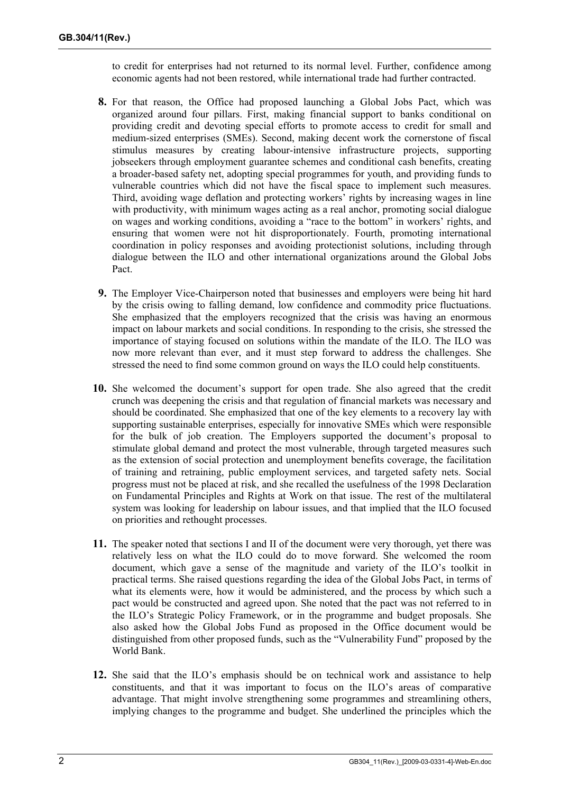to credit for enterprises had not returned to its normal level. Further, confidence among economic agents had not been restored, while international trade had further contracted.

- **8.** For that reason, the Office had proposed launching a Global Jobs Pact, which was organized around four pillars. First, making financial support to banks conditional on providing credit and devoting special efforts to promote access to credit for small and medium-sized enterprises (SMEs). Second, making decent work the cornerstone of fiscal stimulus measures by creating labour-intensive infrastructure projects, supporting jobseekers through employment guarantee schemes and conditional cash benefits, creating a broader-based safety net, adopting special programmes for youth, and providing funds to vulnerable countries which did not have the fiscal space to implement such measures. Third, avoiding wage deflation and protecting workers' rights by increasing wages in line with productivity, with minimum wages acting as a real anchor, promoting social dialogue on wages and working conditions, avoiding a "race to the bottom" in workers' rights, and ensuring that women were not hit disproportionately. Fourth, promoting international coordination in policy responses and avoiding protectionist solutions, including through dialogue between the ILO and other international organizations around the Global Jobs Pact.
- **9.** The Employer Vice-Chairperson noted that businesses and employers were being hit hard by the crisis owing to falling demand, low confidence and commodity price fluctuations. She emphasized that the employers recognized that the crisis was having an enormous impact on labour markets and social conditions. In responding to the crisis, she stressed the importance of staying focused on solutions within the mandate of the ILO. The ILO was now more relevant than ever, and it must step forward to address the challenges. She stressed the need to find some common ground on ways the ILO could help constituents.
- **10.** She welcomed the document's support for open trade. She also agreed that the credit crunch was deepening the crisis and that regulation of financial markets was necessary and should be coordinated. She emphasized that one of the key elements to a recovery lay with supporting sustainable enterprises, especially for innovative SMEs which were responsible for the bulk of job creation. The Employers supported the document's proposal to stimulate global demand and protect the most vulnerable, through targeted measures such as the extension of social protection and unemployment benefits coverage, the facilitation of training and retraining, public employment services, and targeted safety nets. Social progress must not be placed at risk, and she recalled the usefulness of the 1998 Declaration on Fundamental Principles and Rights at Work on that issue. The rest of the multilateral system was looking for leadership on labour issues, and that implied that the ILO focused on priorities and rethought processes.
- **11.** The speaker noted that sections I and II of the document were very thorough, yet there was relatively less on what the ILO could do to move forward. She welcomed the room document, which gave a sense of the magnitude and variety of the ILO's toolkit in practical terms. She raised questions regarding the idea of the Global Jobs Pact, in terms of what its elements were, how it would be administered, and the process by which such a pact would be constructed and agreed upon. She noted that the pact was not referred to in the ILO's Strategic Policy Framework, or in the programme and budget proposals. She also asked how the Global Jobs Fund as proposed in the Office document would be distinguished from other proposed funds, such as the "Vulnerability Fund" proposed by the World Bank.
- **12.** She said that the ILO's emphasis should be on technical work and assistance to help constituents, and that it was important to focus on the ILO's areas of comparative advantage. That might involve strengthening some programmes and streamlining others, implying changes to the programme and budget. She underlined the principles which the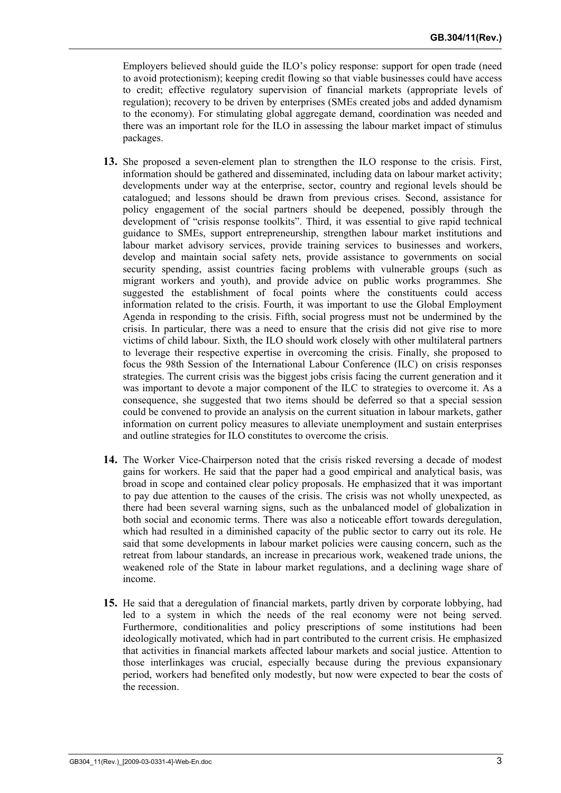Employers believed should guide the ILO's policy response: support for open trade (need to avoid protectionism); keeping credit flowing so that viable businesses could have access to credit; effective regulatory supervision of financial markets (appropriate levels of regulation); recovery to be driven by enterprises (SMEs created jobs and added dynamism to the economy). For stimulating global aggregate demand, coordination was needed and there was an important role for the ILO in assessing the labour market impact of stimulus packages.

- **13.** She proposed a seven-element plan to strengthen the ILO response to the crisis. First, information should be gathered and disseminated, including data on labour market activity; developments under way at the enterprise, sector, country and regional levels should be catalogued; and lessons should be drawn from previous crises. Second, assistance for policy engagement of the social partners should be deepened, possibly through the development of "crisis response toolkits". Third, it was essential to give rapid technical guidance to SMEs, support entrepreneurship, strengthen labour market institutions and labour market advisory services, provide training services to businesses and workers, develop and maintain social safety nets, provide assistance to governments on social security spending, assist countries facing problems with vulnerable groups (such as migrant workers and youth), and provide advice on public works programmes. She suggested the establishment of focal points where the constituents could access information related to the crisis. Fourth, it was important to use the Global Employment Agenda in responding to the crisis. Fifth, social progress must not be undermined by the crisis. In particular, there was a need to ensure that the crisis did not give rise to more victims of child labour. Sixth, the ILO should work closely with other multilateral partners to leverage their respective expertise in overcoming the crisis. Finally, she proposed to focus the 98th Session of the International Labour Conference (ILC) on crisis responses strategies. The current crisis was the biggest jobs crisis facing the current generation and it was important to devote a major component of the ILC to strategies to overcome it. As a consequence, she suggested that two items should be deferred so that a special session could be convened to provide an analysis on the current situation in labour markets, gather information on current policy measures to alleviate unemployment and sustain enterprises and outline strategies for ILO constitutes to overcome the crisis.
- **14.** The Worker Vice-Chairperson noted that the crisis risked reversing a decade of modest gains for workers. He said that the paper had a good empirical and analytical basis, was broad in scope and contained clear policy proposals. He emphasized that it was important to pay due attention to the causes of the crisis. The crisis was not wholly unexpected, as there had been several warning signs, such as the unbalanced model of globalization in both social and economic terms. There was also a noticeable effort towards deregulation, which had resulted in a diminished capacity of the public sector to carry out its role. He said that some developments in labour market policies were causing concern, such as the retreat from labour standards, an increase in precarious work, weakened trade unions, the weakened role of the State in labour market regulations, and a declining wage share of income.
- **15.** He said that a deregulation of financial markets, partly driven by corporate lobbying, had led to a system in which the needs of the real economy were not being served. Furthermore, conditionalities and policy prescriptions of some institutions had been ideologically motivated, which had in part contributed to the current crisis. He emphasized that activities in financial markets affected labour markets and social justice. Attention to those interlinkages was crucial, especially because during the previous expansionary period, workers had benefited only modestly, but now were expected to bear the costs of the recession.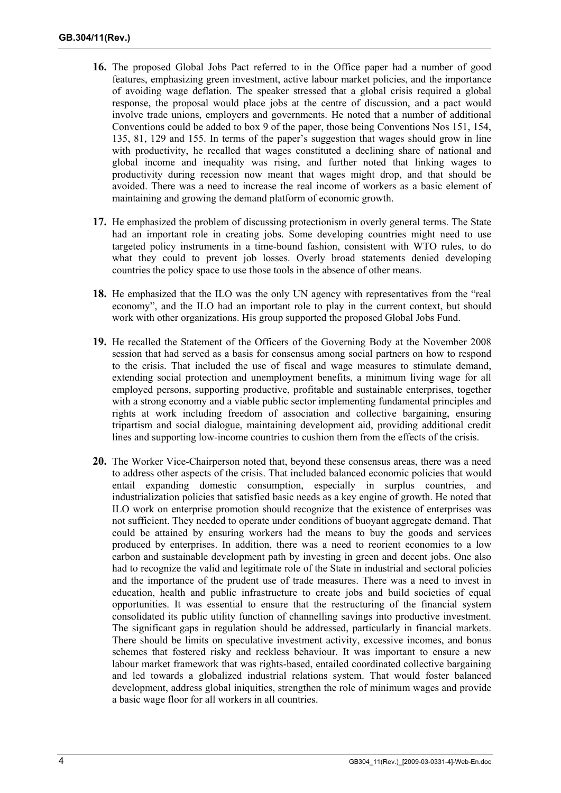- **16.** The proposed Global Jobs Pact referred to in the Office paper had a number of good features, emphasizing green investment, active labour market policies, and the importance of avoiding wage deflation. The speaker stressed that a global crisis required a global response, the proposal would place jobs at the centre of discussion, and a pact would involve trade unions, employers and governments. He noted that a number of additional Conventions could be added to box 9 of the paper, those being Conventions Nos 151, 154, 135, 81, 129 and 155. In terms of the paper's suggestion that wages should grow in line with productivity, he recalled that wages constituted a declining share of national and global income and inequality was rising, and further noted that linking wages to productivity during recession now meant that wages might drop, and that should be avoided. There was a need to increase the real income of workers as a basic element of maintaining and growing the demand platform of economic growth.
- **17.** He emphasized the problem of discussing protectionism in overly general terms. The State had an important role in creating jobs. Some developing countries might need to use targeted policy instruments in a time-bound fashion, consistent with WTO rules, to do what they could to prevent job losses. Overly broad statements denied developing countries the policy space to use those tools in the absence of other means.
- **18.** He emphasized that the ILO was the only UN agency with representatives from the "real economy", and the ILO had an important role to play in the current context, but should work with other organizations. His group supported the proposed Global Jobs Fund.
- **19.** He recalled the Statement of the Officers of the Governing Body at the November 2008 session that had served as a basis for consensus among social partners on how to respond to the crisis. That included the use of fiscal and wage measures to stimulate demand, extending social protection and unemployment benefits, a minimum living wage for all employed persons, supporting productive, profitable and sustainable enterprises, together with a strong economy and a viable public sector implementing fundamental principles and rights at work including freedom of association and collective bargaining, ensuring tripartism and social dialogue, maintaining development aid, providing additional credit lines and supporting low-income countries to cushion them from the effects of the crisis.
- **20.** The Worker Vice-Chairperson noted that, beyond these consensus areas, there was a need to address other aspects of the crisis. That included balanced economic policies that would entail expanding domestic consumption, especially in surplus countries, and industrialization policies that satisfied basic needs as a key engine of growth. He noted that ILO work on enterprise promotion should recognize that the existence of enterprises was not sufficient. They needed to operate under conditions of buoyant aggregate demand. That could be attained by ensuring workers had the means to buy the goods and services produced by enterprises. In addition, there was a need to reorient economies to a low carbon and sustainable development path by investing in green and decent jobs. One also had to recognize the valid and legitimate role of the State in industrial and sectoral policies and the importance of the prudent use of trade measures. There was a need to invest in education, health and public infrastructure to create jobs and build societies of equal opportunities. It was essential to ensure that the restructuring of the financial system consolidated its public utility function of channelling savings into productive investment. The significant gaps in regulation should be addressed, particularly in financial markets. There should be limits on speculative investment activity, excessive incomes, and bonus schemes that fostered risky and reckless behaviour. It was important to ensure a new labour market framework that was rights-based, entailed coordinated collective bargaining and led towards a globalized industrial relations system. That would foster balanced development, address global iniquities, strengthen the role of minimum wages and provide a basic wage floor for all workers in all countries.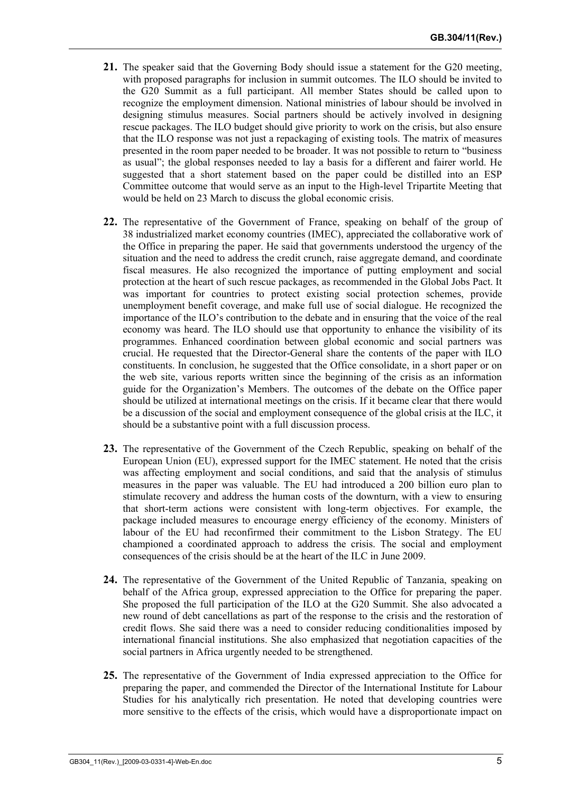- **21.** The speaker said that the Governing Body should issue a statement for the G20 meeting, with proposed paragraphs for inclusion in summit outcomes. The ILO should be invited to the G20 Summit as a full participant. All member States should be called upon to recognize the employment dimension. National ministries of labour should be involved in designing stimulus measures. Social partners should be actively involved in designing rescue packages. The ILO budget should give priority to work on the crisis, but also ensure that the ILO response was not just a repackaging of existing tools. The matrix of measures presented in the room paper needed to be broader. It was not possible to return to "business as usual"; the global responses needed to lay a basis for a different and fairer world. He suggested that a short statement based on the paper could be distilled into an ESP Committee outcome that would serve as an input to the High-level Tripartite Meeting that would be held on 23 March to discuss the global economic crisis.
- **22.** The representative of the Government of France, speaking on behalf of the group of 38 industrialized market economy countries (IMEC), appreciated the collaborative work of the Office in preparing the paper. He said that governments understood the urgency of the situation and the need to address the credit crunch, raise aggregate demand, and coordinate fiscal measures. He also recognized the importance of putting employment and social protection at the heart of such rescue packages, as recommended in the Global Jobs Pact. It was important for countries to protect existing social protection schemes, provide unemployment benefit coverage, and make full use of social dialogue. He recognized the importance of the ILO's contribution to the debate and in ensuring that the voice of the real economy was heard. The ILO should use that opportunity to enhance the visibility of its programmes. Enhanced coordination between global economic and social partners was crucial. He requested that the Director-General share the contents of the paper with ILO constituents. In conclusion, he suggested that the Office consolidate, in a short paper or on the web site, various reports written since the beginning of the crisis as an information guide for the Organization's Members. The outcomes of the debate on the Office paper should be utilized at international meetings on the crisis. If it became clear that there would be a discussion of the social and employment consequence of the global crisis at the ILC, it should be a substantive point with a full discussion process.
- **23.** The representative of the Government of the Czech Republic, speaking on behalf of the European Union (EU), expressed support for the IMEC statement. He noted that the crisis was affecting employment and social conditions, and said that the analysis of stimulus measures in the paper was valuable. The EU had introduced a 200 billion euro plan to stimulate recovery and address the human costs of the downturn, with a view to ensuring that short-term actions were consistent with long-term objectives. For example, the package included measures to encourage energy efficiency of the economy. Ministers of labour of the EU had reconfirmed their commitment to the Lisbon Strategy. The EU championed a coordinated approach to address the crisis. The social and employment consequences of the crisis should be at the heart of the ILC in June 2009.
- **24.** The representative of the Government of the United Republic of Tanzania, speaking on behalf of the Africa group, expressed appreciation to the Office for preparing the paper. She proposed the full participation of the ILO at the G20 Summit. She also advocated a new round of debt cancellations as part of the response to the crisis and the restoration of credit flows. She said there was a need to consider reducing conditionalities imposed by international financial institutions. She also emphasized that negotiation capacities of the social partners in Africa urgently needed to be strengthened.
- **25.** The representative of the Government of India expressed appreciation to the Office for preparing the paper, and commended the Director of the International Institute for Labour Studies for his analytically rich presentation. He noted that developing countries were more sensitive to the effects of the crisis, which would have a disproportionate impact on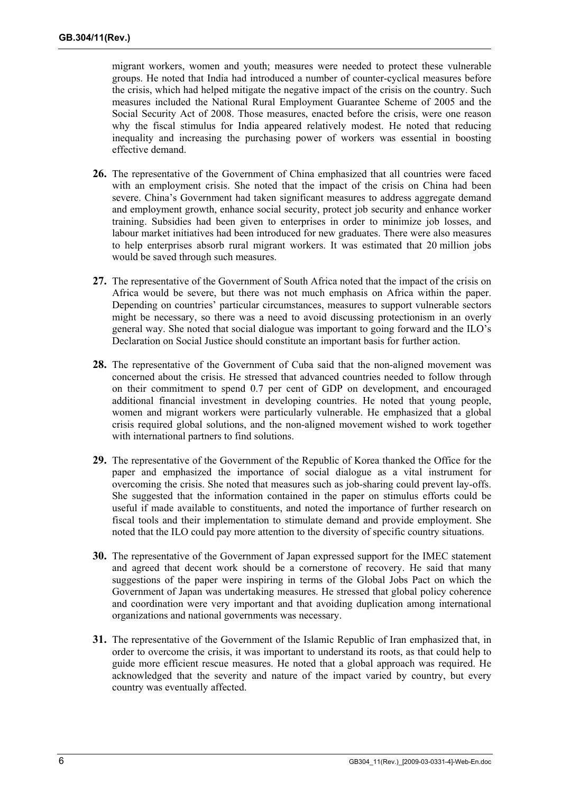migrant workers, women and youth; measures were needed to protect these vulnerable groups. He noted that India had introduced a number of counter-cyclical measures before the crisis, which had helped mitigate the negative impact of the crisis on the country. Such measures included the National Rural Employment Guarantee Scheme of 2005 and the Social Security Act of 2008. Those measures, enacted before the crisis, were one reason why the fiscal stimulus for India appeared relatively modest. He noted that reducing inequality and increasing the purchasing power of workers was essential in boosting effective demand.

- **26.** The representative of the Government of China emphasized that all countries were faced with an employment crisis. She noted that the impact of the crisis on China had been severe. China's Government had taken significant measures to address aggregate demand and employment growth, enhance social security, protect job security and enhance worker training. Subsidies had been given to enterprises in order to minimize job losses, and labour market initiatives had been introduced for new graduates. There were also measures to help enterprises absorb rural migrant workers. It was estimated that 20 million jobs would be saved through such measures.
- **27.** The representative of the Government of South Africa noted that the impact of the crisis on Africa would be severe, but there was not much emphasis on Africa within the paper. Depending on countries' particular circumstances, measures to support vulnerable sectors might be necessary, so there was a need to avoid discussing protectionism in an overly general way. She noted that social dialogue was important to going forward and the ILO's Declaration on Social Justice should constitute an important basis for further action.
- **28.** The representative of the Government of Cuba said that the non-aligned movement was concerned about the crisis. He stressed that advanced countries needed to follow through on their commitment to spend 0.7 per cent of GDP on development, and encouraged additional financial investment in developing countries. He noted that young people, women and migrant workers were particularly vulnerable. He emphasized that a global crisis required global solutions, and the non-aligned movement wished to work together with international partners to find solutions.
- **29.** The representative of the Government of the Republic of Korea thanked the Office for the paper and emphasized the importance of social dialogue as a vital instrument for overcoming the crisis. She noted that measures such as job-sharing could prevent lay-offs. She suggested that the information contained in the paper on stimulus efforts could be useful if made available to constituents, and noted the importance of further research on fiscal tools and their implementation to stimulate demand and provide employment. She noted that the ILO could pay more attention to the diversity of specific country situations.
- **30.** The representative of the Government of Japan expressed support for the IMEC statement and agreed that decent work should be a cornerstone of recovery. He said that many suggestions of the paper were inspiring in terms of the Global Jobs Pact on which the Government of Japan was undertaking measures. He stressed that global policy coherence and coordination were very important and that avoiding duplication among international organizations and national governments was necessary.
- **31.** The representative of the Government of the Islamic Republic of Iran emphasized that, in order to overcome the crisis, it was important to understand its roots, as that could help to guide more efficient rescue measures. He noted that a global approach was required. He acknowledged that the severity and nature of the impact varied by country, but every country was eventually affected.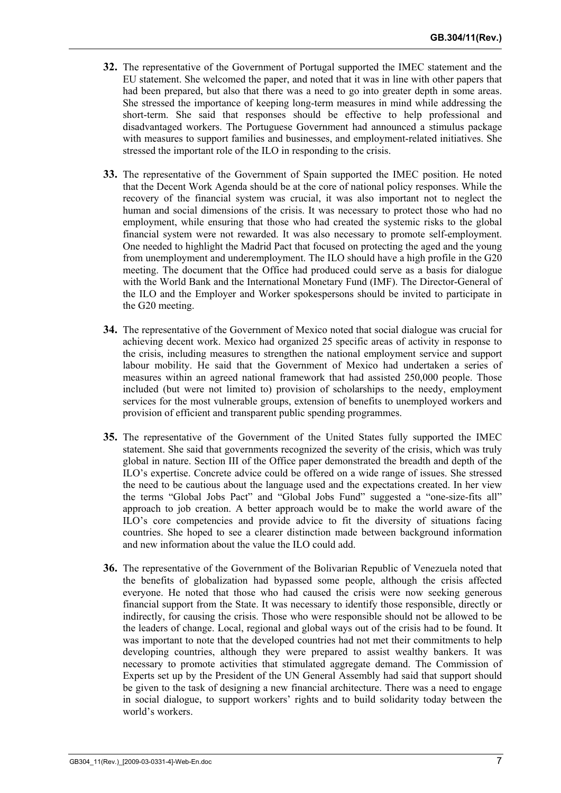- **32.** The representative of the Government of Portugal supported the IMEC statement and the EU statement. She welcomed the paper, and noted that it was in line with other papers that had been prepared, but also that there was a need to go into greater depth in some areas. She stressed the importance of keeping long-term measures in mind while addressing the short-term. She said that responses should be effective to help professional and disadvantaged workers. The Portuguese Government had announced a stimulus package with measures to support families and businesses, and employment-related initiatives. She stressed the important role of the ILO in responding to the crisis.
- **33.** The representative of the Government of Spain supported the IMEC position. He noted that the Decent Work Agenda should be at the core of national policy responses. While the recovery of the financial system was crucial, it was also important not to neglect the human and social dimensions of the crisis. It was necessary to protect those who had no employment, while ensuring that those who had created the systemic risks to the global financial system were not rewarded. It was also necessary to promote self-employment. One needed to highlight the Madrid Pact that focused on protecting the aged and the young from unemployment and underemployment. The ILO should have a high profile in the G20 meeting. The document that the Office had produced could serve as a basis for dialogue with the World Bank and the International Monetary Fund (IMF). The Director-General of the ILO and the Employer and Worker spokespersons should be invited to participate in the G20 meeting.
- **34.** The representative of the Government of Mexico noted that social dialogue was crucial for achieving decent work. Mexico had organized 25 specific areas of activity in response to the crisis, including measures to strengthen the national employment service and support labour mobility. He said that the Government of Mexico had undertaken a series of measures within an agreed national framework that had assisted 250,000 people. Those included (but were not limited to) provision of scholarships to the needy, employment services for the most vulnerable groups, extension of benefits to unemployed workers and provision of efficient and transparent public spending programmes.
- **35.** The representative of the Government of the United States fully supported the IMEC statement. She said that governments recognized the severity of the crisis, which was truly global in nature. Section III of the Office paper demonstrated the breadth and depth of the ILO's expertise. Concrete advice could be offered on a wide range of issues. She stressed the need to be cautious about the language used and the expectations created. In her view the terms "Global Jobs Pact" and "Global Jobs Fund" suggested a "one-size-fits all" approach to job creation. A better approach would be to make the world aware of the ILO's core competencies and provide advice to fit the diversity of situations facing countries. She hoped to see a clearer distinction made between background information and new information about the value the ILO could add.
- **36.** The representative of the Government of the Bolivarian Republic of Venezuela noted that the benefits of globalization had bypassed some people, although the crisis affected everyone. He noted that those who had caused the crisis were now seeking generous financial support from the State. It was necessary to identify those responsible, directly or indirectly, for causing the crisis. Those who were responsible should not be allowed to be the leaders of change. Local, regional and global ways out of the crisis had to be found. It was important to note that the developed countries had not met their commitments to help developing countries, although they were prepared to assist wealthy bankers. It was necessary to promote activities that stimulated aggregate demand. The Commission of Experts set up by the President of the UN General Assembly had said that support should be given to the task of designing a new financial architecture. There was a need to engage in social dialogue, to support workers' rights and to build solidarity today between the world's workers.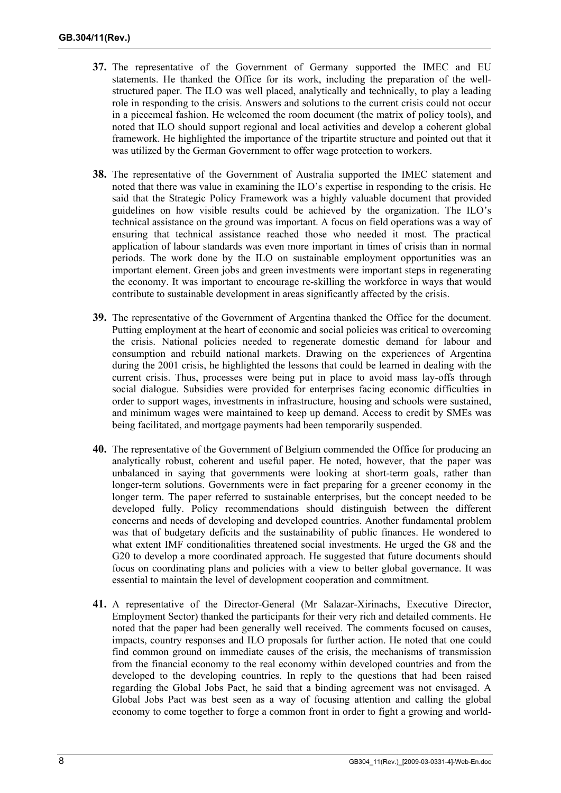- **37.** The representative of the Government of Germany supported the IMEC and EU statements. He thanked the Office for its work, including the preparation of the wellstructured paper. The ILO was well placed, analytically and technically, to play a leading role in responding to the crisis. Answers and solutions to the current crisis could not occur in a piecemeal fashion. He welcomed the room document (the matrix of policy tools), and noted that ILO should support regional and local activities and develop a coherent global framework. He highlighted the importance of the tripartite structure and pointed out that it was utilized by the German Government to offer wage protection to workers.
- **38.** The representative of the Government of Australia supported the IMEC statement and noted that there was value in examining the ILO's expertise in responding to the crisis. He said that the Strategic Policy Framework was a highly valuable document that provided guidelines on how visible results could be achieved by the organization. The ILO's technical assistance on the ground was important. A focus on field operations was a way of ensuring that technical assistance reached those who needed it most. The practical application of labour standards was even more important in times of crisis than in normal periods. The work done by the ILO on sustainable employment opportunities was an important element. Green jobs and green investments were important steps in regenerating the economy. It was important to encourage re-skilling the workforce in ways that would contribute to sustainable development in areas significantly affected by the crisis.
- **39.** The representative of the Government of Argentina thanked the Office for the document. Putting employment at the heart of economic and social policies was critical to overcoming the crisis. National policies needed to regenerate domestic demand for labour and consumption and rebuild national markets. Drawing on the experiences of Argentina during the 2001 crisis, he highlighted the lessons that could be learned in dealing with the current crisis. Thus, processes were being put in place to avoid mass lay-offs through social dialogue. Subsidies were provided for enterprises facing economic difficulties in order to support wages, investments in infrastructure, housing and schools were sustained, and minimum wages were maintained to keep up demand. Access to credit by SMEs was being facilitated, and mortgage payments had been temporarily suspended.
- **40.** The representative of the Government of Belgium commended the Office for producing an analytically robust, coherent and useful paper. He noted, however, that the paper was unbalanced in saying that governments were looking at short-term goals, rather than longer-term solutions. Governments were in fact preparing for a greener economy in the longer term. The paper referred to sustainable enterprises, but the concept needed to be developed fully. Policy recommendations should distinguish between the different concerns and needs of developing and developed countries. Another fundamental problem was that of budgetary deficits and the sustainability of public finances. He wondered to what extent IMF conditionalities threatened social investments. He urged the G8 and the G20 to develop a more coordinated approach. He suggested that future documents should focus on coordinating plans and policies with a view to better global governance. It was essential to maintain the level of development cooperation and commitment.
- **41.** A representative of the Director-General (Mr Salazar-Xirinachs, Executive Director, Employment Sector) thanked the participants for their very rich and detailed comments. He noted that the paper had been generally well received. The comments focused on causes, impacts, country responses and ILO proposals for further action. He noted that one could find common ground on immediate causes of the crisis, the mechanisms of transmission from the financial economy to the real economy within developed countries and from the developed to the developing countries. In reply to the questions that had been raised regarding the Global Jobs Pact, he said that a binding agreement was not envisaged. A Global Jobs Pact was best seen as a way of focusing attention and calling the global economy to come together to forge a common front in order to fight a growing and world-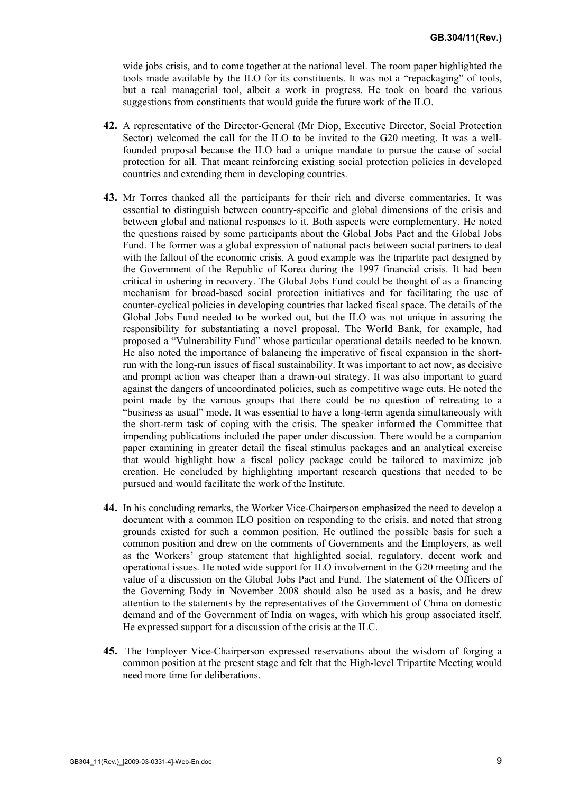wide jobs crisis, and to come together at the national level. The room paper highlighted the tools made available by the ILO for its constituents. It was not a "repackaging" of tools, but a real managerial tool, albeit a work in progress. He took on board the various suggestions from constituents that would guide the future work of the ILO.

- **42.** A representative of the Director-General (Mr Diop, Executive Director, Social Protection Sector) welcomed the call for the ILO to be invited to the G20 meeting. It was a wellfounded proposal because the ILO had a unique mandate to pursue the cause of social protection for all. That meant reinforcing existing social protection policies in developed countries and extending them in developing countries.
- **43.** Mr Torres thanked all the participants for their rich and diverse commentaries. It was essential to distinguish between country-specific and global dimensions of the crisis and between global and national responses to it. Both aspects were complementary. He noted the questions raised by some participants about the Global Jobs Pact and the Global Jobs Fund. The former was a global expression of national pacts between social partners to deal with the fallout of the economic crisis. A good example was the tripartite pact designed by the Government of the Republic of Korea during the 1997 financial crisis. It had been critical in ushering in recovery. The Global Jobs Fund could be thought of as a financing mechanism for broad-based social protection initiatives and for facilitating the use of counter-cyclical policies in developing countries that lacked fiscal space. The details of the Global Jobs Fund needed to be worked out, but the ILO was not unique in assuring the responsibility for substantiating a novel proposal. The World Bank, for example, had proposed a "Vulnerability Fund" whose particular operational details needed to be known. He also noted the importance of balancing the imperative of fiscal expansion in the shortrun with the long-run issues of fiscal sustainability. It was important to act now, as decisive and prompt action was cheaper than a drawn-out strategy. It was also important to guard against the dangers of uncoordinated policies, such as competitive wage cuts. He noted the point made by the various groups that there could be no question of retreating to a "business as usual" mode. It was essential to have a long-term agenda simultaneously with the short-term task of coping with the crisis. The speaker informed the Committee that impending publications included the paper under discussion. There would be a companion paper examining in greater detail the fiscal stimulus packages and an analytical exercise that would highlight how a fiscal policy package could be tailored to maximize job creation. He concluded by highlighting important research questions that needed to be pursued and would facilitate the work of the Institute.
- **44.** In his concluding remarks, the Worker Vice-Chairperson emphasized the need to develop a document with a common ILO position on responding to the crisis, and noted that strong grounds existed for such a common position. He outlined the possible basis for such a common position and drew on the comments of Governments and the Employers, as well as the Workers' group statement that highlighted social, regulatory, decent work and operational issues. He noted wide support for ILO involvement in the G20 meeting and the value of a discussion on the Global Jobs Pact and Fund. The statement of the Officers of the Governing Body in November 2008 should also be used as a basis, and he drew attention to the statements by the representatives of the Government of China on domestic demand and of the Government of India on wages, with which his group associated itself. He expressed support for a discussion of the crisis at the ILC.
- **45.** The Employer Vice-Chairperson expressed reservations about the wisdom of forging a common position at the present stage and felt that the High-level Tripartite Meeting would need more time for deliberations.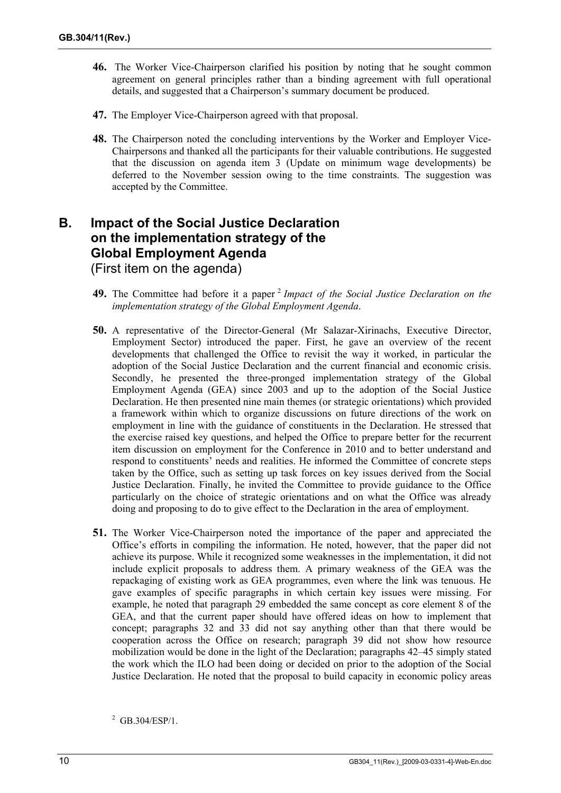- **46.** The Worker Vice-Chairperson clarified his position by noting that he sought common agreement on general principles rather than a binding agreement with full operational details, and suggested that a Chairperson's summary document be produced.
- **47.** The Employer Vice-Chairperson agreed with that proposal.
- **48.** The Chairperson noted the concluding interventions by the Worker and Employer Vice-Chairpersons and thanked all the participants for their valuable contributions. He suggested that the discussion on agenda item 3 (Update on minimum wage developments) be deferred to the November session owing to the time constraints. The suggestion was accepted by the Committee.

## **B. Impact of the Social Justice Declaration on the implementation strategy of the Global Employment Agenda**  (First item on the agenda)

- **49.** The Committee had before it a paper <sup>2</sup> *Impact of the Social Justice Declaration on the implementation strategy of the Global Employment Agenda*.
- **50.** A representative of the Director-General (Mr Salazar-Xirinachs, Executive Director, Employment Sector) introduced the paper. First, he gave an overview of the recent developments that challenged the Office to revisit the way it worked, in particular the adoption of the Social Justice Declaration and the current financial and economic crisis. Secondly, he presented the three-pronged implementation strategy of the Global Employment Agenda (GEA) since 2003 and up to the adoption of the Social Justice Declaration. He then presented nine main themes (or strategic orientations) which provided a framework within which to organize discussions on future directions of the work on employment in line with the guidance of constituents in the Declaration. He stressed that the exercise raised key questions, and helped the Office to prepare better for the recurrent item discussion on employment for the Conference in 2010 and to better understand and respond to constituents' needs and realities. He informed the Committee of concrete steps taken by the Office, such as setting up task forces on key issues derived from the Social Justice Declaration. Finally, he invited the Committee to provide guidance to the Office particularly on the choice of strategic orientations and on what the Office was already doing and proposing to do to give effect to the Declaration in the area of employment.
- **51.** The Worker Vice-Chairperson noted the importance of the paper and appreciated the Office's efforts in compiling the information. He noted, however, that the paper did not achieve its purpose. While it recognized some weaknesses in the implementation, it did not include explicit proposals to address them. A primary weakness of the GEA was the repackaging of existing work as GEA programmes, even where the link was tenuous. He gave examples of specific paragraphs in which certain key issues were missing. For example, he noted that paragraph 29 embedded the same concept as core element 8 of the GEA, and that the current paper should have offered ideas on how to implement that concept; paragraphs 32 and 33 did not say anything other than that there would be cooperation across the Office on research; paragraph 39 did not show how resource mobilization would be done in the light of the Declaration; paragraphs 42–45 simply stated the work which the ILO had been doing or decided on prior to the adoption of the Social Justice Declaration. He noted that the proposal to build capacity in economic policy areas

 $^{2}$  GB.304/ESP/1.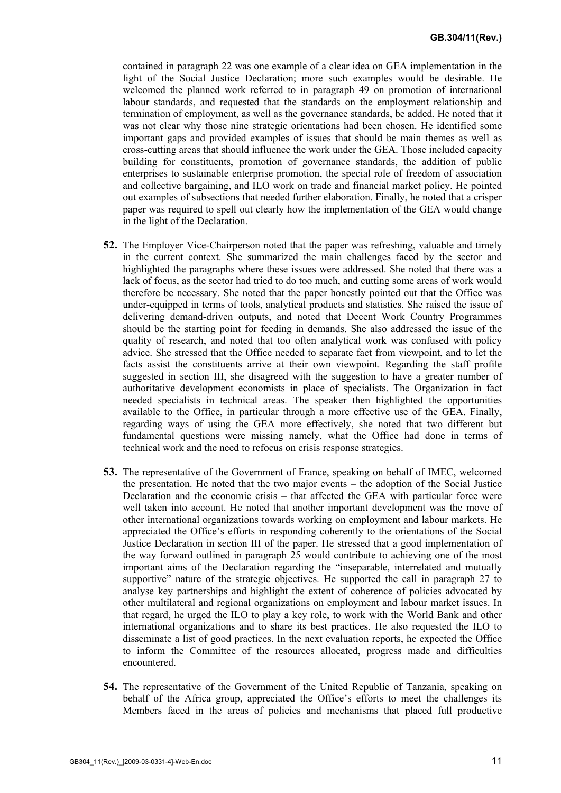contained in paragraph 22 was one example of a clear idea on GEA implementation in the light of the Social Justice Declaration; more such examples would be desirable. He welcomed the planned work referred to in paragraph 49 on promotion of international labour standards, and requested that the standards on the employment relationship and termination of employment, as well as the governance standards, be added. He noted that it was not clear why those nine strategic orientations had been chosen. He identified some important gaps and provided examples of issues that should be main themes as well as cross-cutting areas that should influence the work under the GEA. Those included capacity building for constituents, promotion of governance standards, the addition of public enterprises to sustainable enterprise promotion, the special role of freedom of association and collective bargaining, and ILO work on trade and financial market policy. He pointed out examples of subsections that needed further elaboration. Finally, he noted that a crisper paper was required to spell out clearly how the implementation of the GEA would change in the light of the Declaration.

- **52.** The Employer Vice-Chairperson noted that the paper was refreshing, valuable and timely in the current context. She summarized the main challenges faced by the sector and highlighted the paragraphs where these issues were addressed. She noted that there was a lack of focus, as the sector had tried to do too much, and cutting some areas of work would therefore be necessary. She noted that the paper honestly pointed out that the Office was under-equipped in terms of tools, analytical products and statistics. She raised the issue of delivering demand-driven outputs, and noted that Decent Work Country Programmes should be the starting point for feeding in demands. She also addressed the issue of the quality of research, and noted that too often analytical work was confused with policy advice. She stressed that the Office needed to separate fact from viewpoint, and to let the facts assist the constituents arrive at their own viewpoint. Regarding the staff profile suggested in section III, she disagreed with the suggestion to have a greater number of authoritative development economists in place of specialists. The Organization in fact needed specialists in technical areas. The speaker then highlighted the opportunities available to the Office, in particular through a more effective use of the GEA. Finally, regarding ways of using the GEA more effectively, she noted that two different but fundamental questions were missing namely, what the Office had done in terms of technical work and the need to refocus on crisis response strategies.
- **53.** The representative of the Government of France, speaking on behalf of IMEC, welcomed the presentation. He noted that the two major events – the adoption of the Social Justice Declaration and the economic crisis – that affected the GEA with particular force were well taken into account. He noted that another important development was the move of other international organizations towards working on employment and labour markets. He appreciated the Office's efforts in responding coherently to the orientations of the Social Justice Declaration in section III of the paper. He stressed that a good implementation of the way forward outlined in paragraph 25 would contribute to achieving one of the most important aims of the Declaration regarding the "inseparable, interrelated and mutually supportive" nature of the strategic objectives. He supported the call in paragraph 27 to analyse key partnerships and highlight the extent of coherence of policies advocated by other multilateral and regional organizations on employment and labour market issues. In that regard, he urged the ILO to play a key role, to work with the World Bank and other international organizations and to share its best practices. He also requested the ILO to disseminate a list of good practices. In the next evaluation reports, he expected the Office to inform the Committee of the resources allocated, progress made and difficulties encountered.
- **54.** The representative of the Government of the United Republic of Tanzania, speaking on behalf of the Africa group, appreciated the Office's efforts to meet the challenges its Members faced in the areas of policies and mechanisms that placed full productive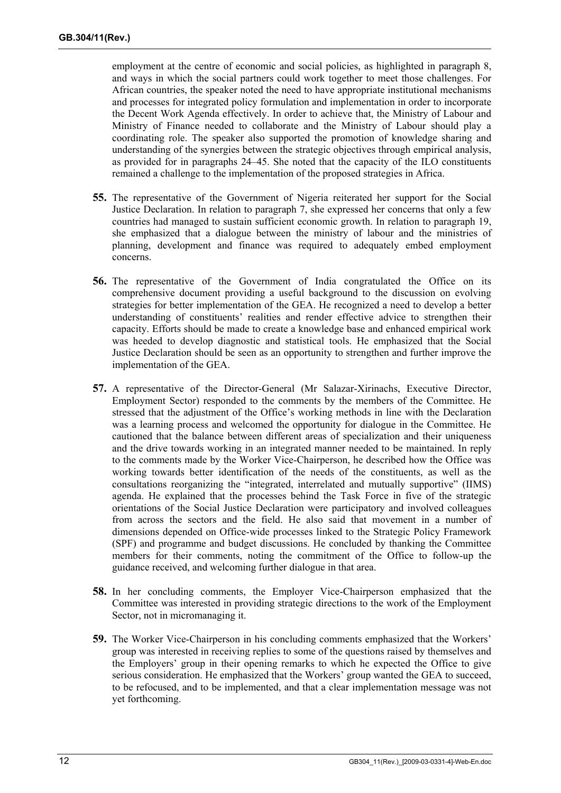employment at the centre of economic and social policies, as highlighted in paragraph 8, and ways in which the social partners could work together to meet those challenges. For African countries, the speaker noted the need to have appropriate institutional mechanisms and processes for integrated policy formulation and implementation in order to incorporate the Decent Work Agenda effectively. In order to achieve that, the Ministry of Labour and Ministry of Finance needed to collaborate and the Ministry of Labour should play a coordinating role. The speaker also supported the promotion of knowledge sharing and understanding of the synergies between the strategic objectives through empirical analysis, as provided for in paragraphs 24–45. She noted that the capacity of the ILO constituents remained a challenge to the implementation of the proposed strategies in Africa.

- **55.** The representative of the Government of Nigeria reiterated her support for the Social Justice Declaration. In relation to paragraph 7, she expressed her concerns that only a few countries had managed to sustain sufficient economic growth. In relation to paragraph 19, she emphasized that a dialogue between the ministry of labour and the ministries of planning, development and finance was required to adequately embed employment concerns.
- **56.** The representative of the Government of India congratulated the Office on its comprehensive document providing a useful background to the discussion on evolving strategies for better implementation of the GEA. He recognized a need to develop a better understanding of constituents' realities and render effective advice to strengthen their capacity. Efforts should be made to create a knowledge base and enhanced empirical work was heeded to develop diagnostic and statistical tools. He emphasized that the Social Justice Declaration should be seen as an opportunity to strengthen and further improve the implementation of the GEA.
- **57.** A representative of the Director-General (Mr Salazar-Xirinachs, Executive Director, Employment Sector) responded to the comments by the members of the Committee. He stressed that the adjustment of the Office's working methods in line with the Declaration was a learning process and welcomed the opportunity for dialogue in the Committee. He cautioned that the balance between different areas of specialization and their uniqueness and the drive towards working in an integrated manner needed to be maintained. In reply to the comments made by the Worker Vice-Chairperson, he described how the Office was working towards better identification of the needs of the constituents, as well as the consultations reorganizing the "integrated, interrelated and mutually supportive" (IIMS) agenda. He explained that the processes behind the Task Force in five of the strategic orientations of the Social Justice Declaration were participatory and involved colleagues from across the sectors and the field. He also said that movement in a number of dimensions depended on Office-wide processes linked to the Strategic Policy Framework (SPF) and programme and budget discussions. He concluded by thanking the Committee members for their comments, noting the commitment of the Office to follow-up the guidance received, and welcoming further dialogue in that area.
- **58.** In her concluding comments, the Employer Vice-Chairperson emphasized that the Committee was interested in providing strategic directions to the work of the Employment Sector, not in micromanaging it.
- **59.** The Worker Vice-Chairperson in his concluding comments emphasized that the Workers' group was interested in receiving replies to some of the questions raised by themselves and the Employers' group in their opening remarks to which he expected the Office to give serious consideration. He emphasized that the Workers' group wanted the GEA to succeed, to be refocused, and to be implemented, and that a clear implementation message was not yet forthcoming.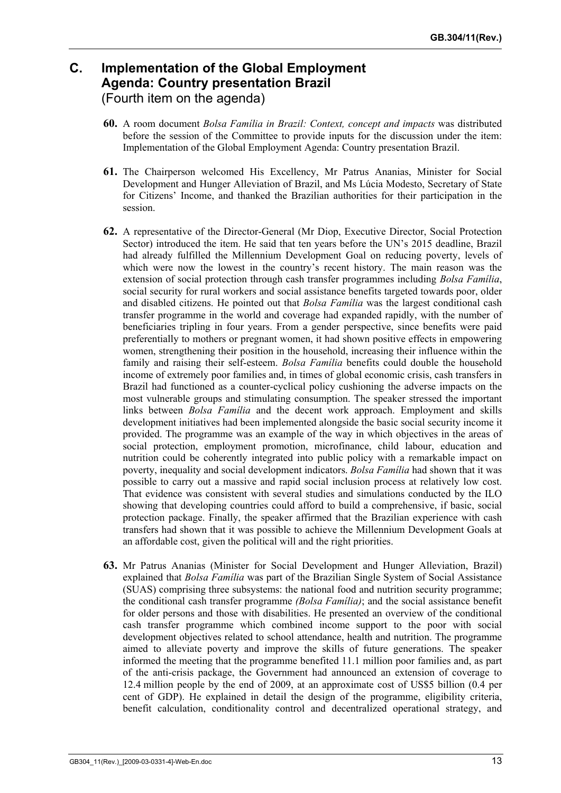# **C. Implementation of the Global Employment Agenda: Country presentation Brazil**  (Fourth item on the agenda)

- **60.** A room document *Bolsa Família in Brazil: Context, concept and impacts* was distributed before the session of the Committee to provide inputs for the discussion under the item: Implementation of the Global Employment Agenda: Country presentation Brazil.
- **61.** The Chairperson welcomed His Excellency, Mr Patrus Ananias, Minister for Social Development and Hunger Alleviation of Brazil, and Ms Lúcia Modesto, Secretary of State for Citizens' Income, and thanked the Brazilian authorities for their participation in the session.
- **62.** A representative of the Director-General (Mr Diop, Executive Director, Social Protection Sector) introduced the item. He said that ten years before the UN's 2015 deadline, Brazil had already fulfilled the Millennium Development Goal on reducing poverty, levels of which were now the lowest in the country's recent history. The main reason was the extension of social protection through cash transfer programmes including *Bolsa Família*, social security for rural workers and social assistance benefits targeted towards poor, older and disabled citizens. He pointed out that *Bolsa Família* was the largest conditional cash transfer programme in the world and coverage had expanded rapidly, with the number of beneficiaries tripling in four years. From a gender perspective, since benefits were paid preferentially to mothers or pregnant women, it had shown positive effects in empowering women, strengthening their position in the household, increasing their influence within the family and raising their self-esteem. *Bolsa Família* benefits could double the household income of extremely poor families and, in times of global economic crisis, cash transfers in Brazil had functioned as a counter-cyclical policy cushioning the adverse impacts on the most vulnerable groups and stimulating consumption. The speaker stressed the important links between *Bolsa Família* and the decent work approach. Employment and skills development initiatives had been implemented alongside the basic social security income it provided. The programme was an example of the way in which objectives in the areas of social protection, employment promotion, microfinance, child labour, education and nutrition could be coherently integrated into public policy with a remarkable impact on poverty, inequality and social development indicators. *Bolsa Família* had shown that it was possible to carry out a massive and rapid social inclusion process at relatively low cost. That evidence was consistent with several studies and simulations conducted by the ILO showing that developing countries could afford to build a comprehensive, if basic, social protection package. Finally, the speaker affirmed that the Brazilian experience with cash transfers had shown that it was possible to achieve the Millennium Development Goals at an affordable cost, given the political will and the right priorities.
- **63.** Mr Patrus Ananias (Minister for Social Development and Hunger Alleviation, Brazil) explained that *Bolsa Família* was part of the Brazilian Single System of Social Assistance (SUAS) comprising three subsystems: the national food and nutrition security programme; the conditional cash transfer programme *(Bolsa Família)*; and the social assistance benefit for older persons and those with disabilities. He presented an overview of the conditional cash transfer programme which combined income support to the poor with social development objectives related to school attendance, health and nutrition. The programme aimed to alleviate poverty and improve the skills of future generations. The speaker informed the meeting that the programme benefited 11.1 million poor families and, as part of the anti-crisis package, the Government had announced an extension of coverage to 12.4 million people by the end of 2009, at an approximate cost of US\$5 billion (0.4 per cent of GDP). He explained in detail the design of the programme, eligibility criteria, benefit calculation, conditionality control and decentralized operational strategy, and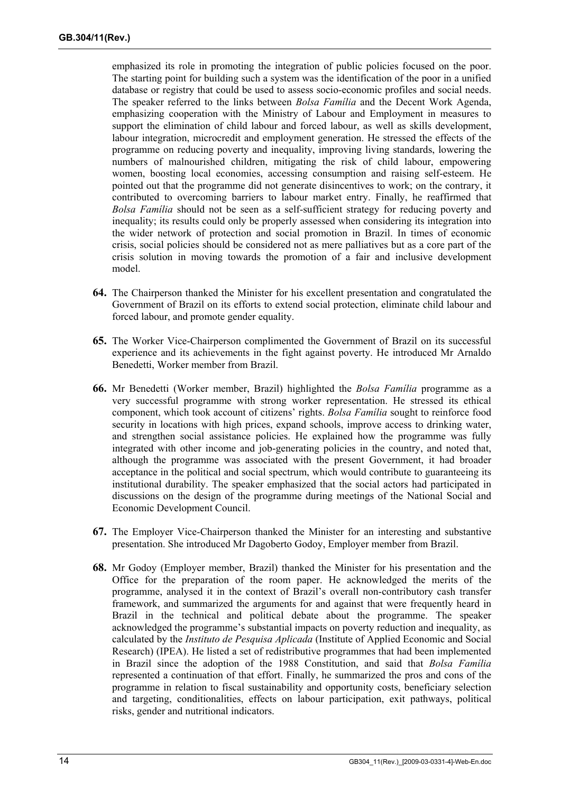emphasized its role in promoting the integration of public policies focused on the poor. The starting point for building such a system was the identification of the poor in a unified database or registry that could be used to assess socio-economic profiles and social needs. The speaker referred to the links between *Bolsa Família* and the Decent Work Agenda, emphasizing cooperation with the Ministry of Labour and Employment in measures to support the elimination of child labour and forced labour, as well as skills development, labour integration, microcredit and employment generation. He stressed the effects of the programme on reducing poverty and inequality, improving living standards, lowering the numbers of malnourished children, mitigating the risk of child labour, empowering women, boosting local economies, accessing consumption and raising self-esteem. He pointed out that the programme did not generate disincentives to work; on the contrary, it contributed to overcoming barriers to labour market entry. Finally, he reaffirmed that *Bolsa Família* should not be seen as a self-sufficient strategy for reducing poverty and inequality; its results could only be properly assessed when considering its integration into the wider network of protection and social promotion in Brazil. In times of economic crisis, social policies should be considered not as mere palliatives but as a core part of the crisis solution in moving towards the promotion of a fair and inclusive development model.

- **64.** The Chairperson thanked the Minister for his excellent presentation and congratulated the Government of Brazil on its efforts to extend social protection, eliminate child labour and forced labour, and promote gender equality.
- **65.** The Worker Vice-Chairperson complimented the Government of Brazil on its successful experience and its achievements in the fight against poverty. He introduced Mr Arnaldo Benedetti, Worker member from Brazil.
- **66.** Mr Benedetti (Worker member, Brazil) highlighted the *Bolsa Família* programme as a very successful programme with strong worker representation. He stressed its ethical component, which took account of citizens' rights. *Bolsa Família* sought to reinforce food security in locations with high prices, expand schools, improve access to drinking water, and strengthen social assistance policies. He explained how the programme was fully integrated with other income and job-generating policies in the country, and noted that, although the programme was associated with the present Government, it had broader acceptance in the political and social spectrum, which would contribute to guaranteeing its institutional durability. The speaker emphasized that the social actors had participated in discussions on the design of the programme during meetings of the National Social and Economic Development Council.
- **67.** The Employer Vice-Chairperson thanked the Minister for an interesting and substantive presentation. She introduced Mr Dagoberto Godoy, Employer member from Brazil.
- **68.** Mr Godoy (Employer member, Brazil) thanked the Minister for his presentation and the Office for the preparation of the room paper. He acknowledged the merits of the programme, analysed it in the context of Brazil's overall non-contributory cash transfer framework, and summarized the arguments for and against that were frequently heard in Brazil in the technical and political debate about the programme. The speaker acknowledged the programme's substantial impacts on poverty reduction and inequality, as calculated by the *Instituto de Pesquisa Aplicada* (Institute of Applied Economic and Social Research) (IPEA). He listed a set of redistributive programmes that had been implemented in Brazil since the adoption of the 1988 Constitution, and said that *Bolsa Família* represented a continuation of that effort. Finally, he summarized the pros and cons of the programme in relation to fiscal sustainability and opportunity costs, beneficiary selection and targeting, conditionalities, effects on labour participation, exit pathways, political risks, gender and nutritional indicators.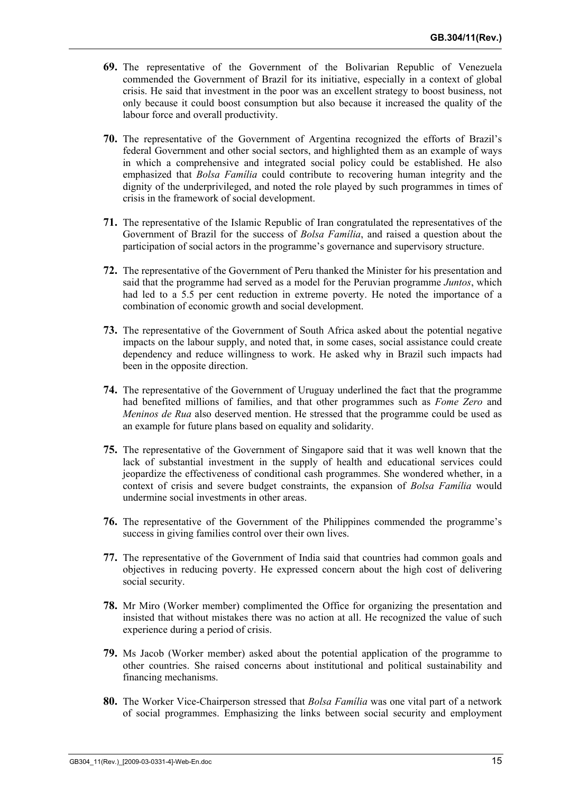- **69.** The representative of the Government of the Bolivarian Republic of Venezuela commended the Government of Brazil for its initiative, especially in a context of global crisis. He said that investment in the poor was an excellent strategy to boost business, not only because it could boost consumption but also because it increased the quality of the labour force and overall productivity.
- **70.** The representative of the Government of Argentina recognized the efforts of Brazil's federal Government and other social sectors, and highlighted them as an example of ways in which a comprehensive and integrated social policy could be established. He also emphasized that *Bolsa Família* could contribute to recovering human integrity and the dignity of the underprivileged, and noted the role played by such programmes in times of crisis in the framework of social development.
- **71.** The representative of the Islamic Republic of Iran congratulated the representatives of the Government of Brazil for the success of *Bolsa Família*, and raised a question about the participation of social actors in the programme's governance and supervisory structure.
- **72.** The representative of the Government of Peru thanked the Minister for his presentation and said that the programme had served as a model for the Peruvian programme *Juntos*, which had led to a 5.5 per cent reduction in extreme poverty. He noted the importance of a combination of economic growth and social development.
- **73.** The representative of the Government of South Africa asked about the potential negative impacts on the labour supply, and noted that, in some cases, social assistance could create dependency and reduce willingness to work. He asked why in Brazil such impacts had been in the opposite direction.
- **74.** The representative of the Government of Uruguay underlined the fact that the programme had benefited millions of families, and that other programmes such as *Fome Zero* and *Meninos de Rua* also deserved mention. He stressed that the programme could be used as an example for future plans based on equality and solidarity.
- **75.** The representative of the Government of Singapore said that it was well known that the lack of substantial investment in the supply of health and educational services could jeopardize the effectiveness of conditional cash programmes. She wondered whether, in a context of crisis and severe budget constraints, the expansion of *Bolsa Família* would undermine social investments in other areas.
- **76.** The representative of the Government of the Philippines commended the programme's success in giving families control over their own lives.
- **77.** The representative of the Government of India said that countries had common goals and objectives in reducing poverty. He expressed concern about the high cost of delivering social security.
- **78.** Mr Miro (Worker member) complimented the Office for organizing the presentation and insisted that without mistakes there was no action at all. He recognized the value of such experience during a period of crisis.
- **79.** Ms Jacob (Worker member) asked about the potential application of the programme to other countries. She raised concerns about institutional and political sustainability and financing mechanisms.
- **80.** The Worker Vice-Chairperson stressed that *Bolsa Família* was one vital part of a network of social programmes. Emphasizing the links between social security and employment